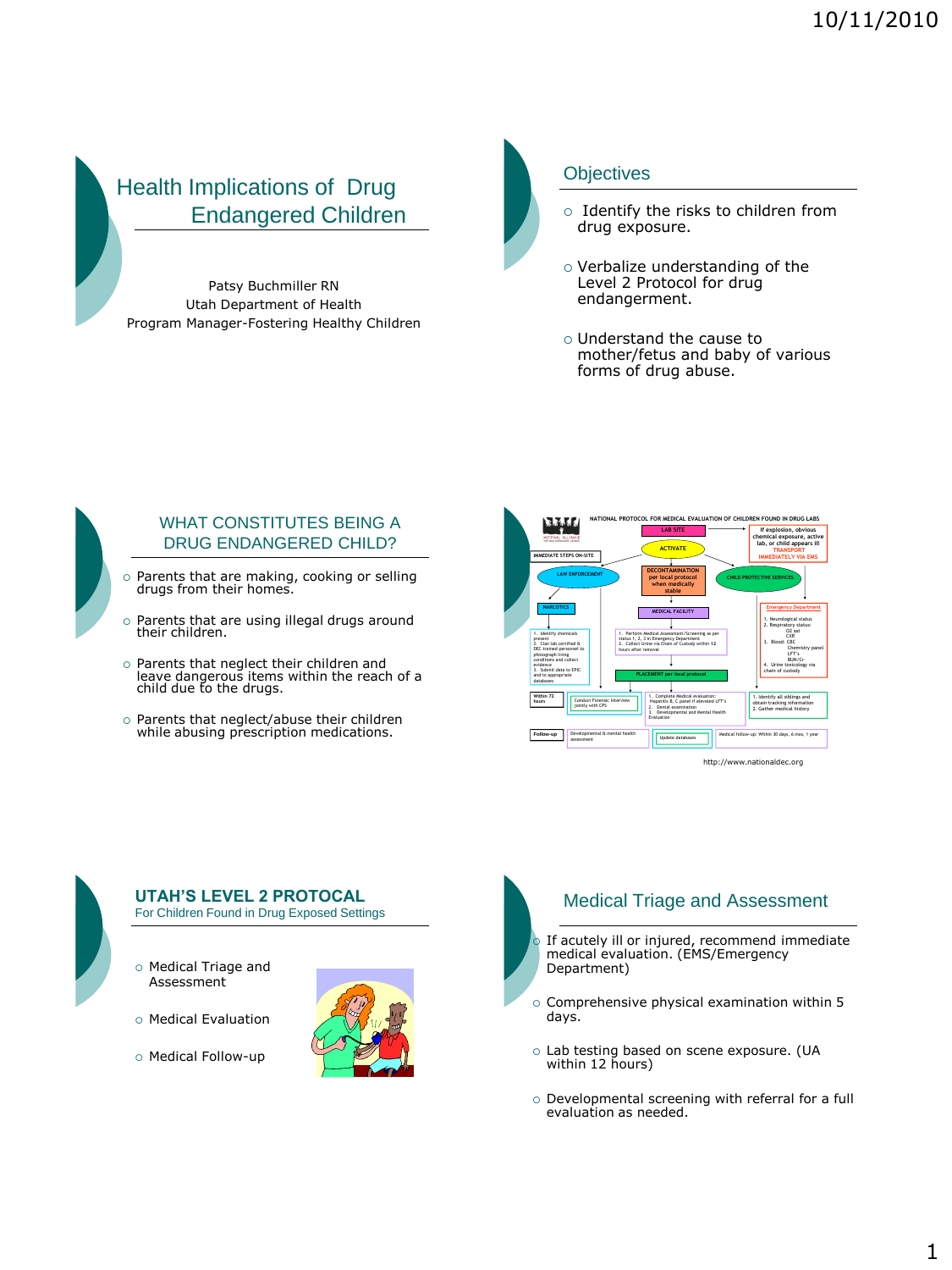# Health Implications of Drug Endangered Children

Patsy Buchmiller RN Utah Department of Health Program Manager-Fostering Healthy Children



### **Objectives**

- o Identify the risks to children from drug exposure.
- Verbalize understanding of the Level 2 Protocol for drug endangerment.
- Understand the cause to mother/fetus and baby of various forms of drug abuse.



### WHAT CONSTITUTES BEING A DRUG ENDANGERED CHILD?

- o Parents that are making, cooking or selling drugs from their homes.
- o Parents that are using illegal drugs around their children.
- o Parents that neglect their children and leave dangerous items within the reach of a child due to the drugs.
- Parents that neglect/abuse their children while abusing prescription medications.





# **UTAH'S LEVEL 2 PROTOCAL**

For Children Found in Drug Exposed Settings

- Medical Triage and Assessment
- o Medical Evaluation
- o Medical Follow-up



# Medical Triage and Assessment

- If acutely ill or injured, recommend immediate medical evaluation. (EMS/Emergency Department)
- o Comprehensive physical examination within 5 days.
- Lab testing based on scene exposure. (UA within 12 hours)
- o Developmental screening with referral for a full evaluation as needed.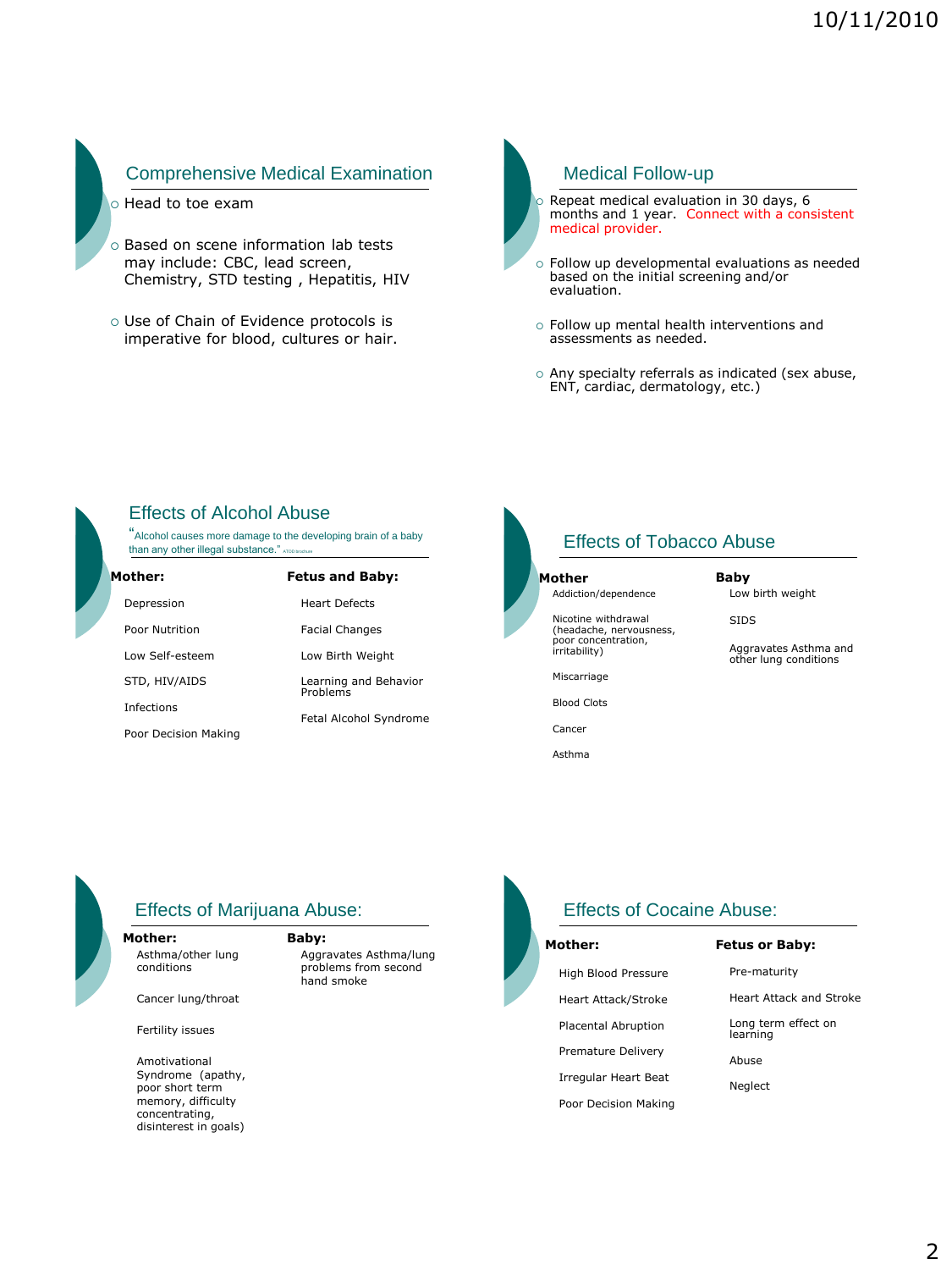## Comprehensive Medical Examination

- o Head to toe exam
- o Based on scene information lab tests may include: CBC, lead screen, Chemistry, STD testing , Hepatitis, HIV
- Use of Chain of Evidence protocols is imperative for blood, cultures or hair.

Medical Follow-up

 Repeat medical evaluation in 30 days, 6 months and 1 year. Connect with a consistent medical provider.

- Follow up developmental evaluations as needed based on the initial screening and/or evaluation.
- Follow up mental health interventions and assessments as needed.
- Any specialty referrals as indicated (sex abuse, ENT, cardiac, dermatology, etc.)

## Effects of Alcohol Abuse

"Alcohol causes more damage to the developing brain of a baby than any other illegal substance."  $\kappa$ 

| Mother:              | <b>Fetus and Baby:</b>            |
|----------------------|-----------------------------------|
| Depression           | <b>Heart Defects</b>              |
| Poor Nutrition       | <b>Facial Changes</b>             |
| Low Self-esteem      | Low Birth Weight                  |
| STD, HIV/AIDS        | Learning and Behavior<br>Problems |
| Infections           | Fetal Alcohol Syndrome            |
| Poor Decision Making |                                   |

## Effects of Tobacco Abuse

### **Mother**

Addiction/dependence

Nicotine withdrawal (headache, nervousness, poor concentration, irritability)

Low birth weight SIDS

**Baby**

Aggravates Asthma and other lung conditions

Miscarriage

Blood Clots

Cancer

Asthma



## Effects of Marijuana Abuse:

**Mother:** Asthma/other lung conditions

Cancer lung/throat

Fertility issues

Amotivational Syndrome (apathy, poor short term memory, difficulty concentrating, disinterest in goals)

#### **Baby:**

Aggravates Asthma/lung problems from second hand smoke



Irregular Heart Beat Poor Decision Making

Effects of Cocaine Abuse:

#### **Fetus or Baby:**

Pre-maturity

Heart Attack and Stroke

Long term effect on learning

Abuse

Neglect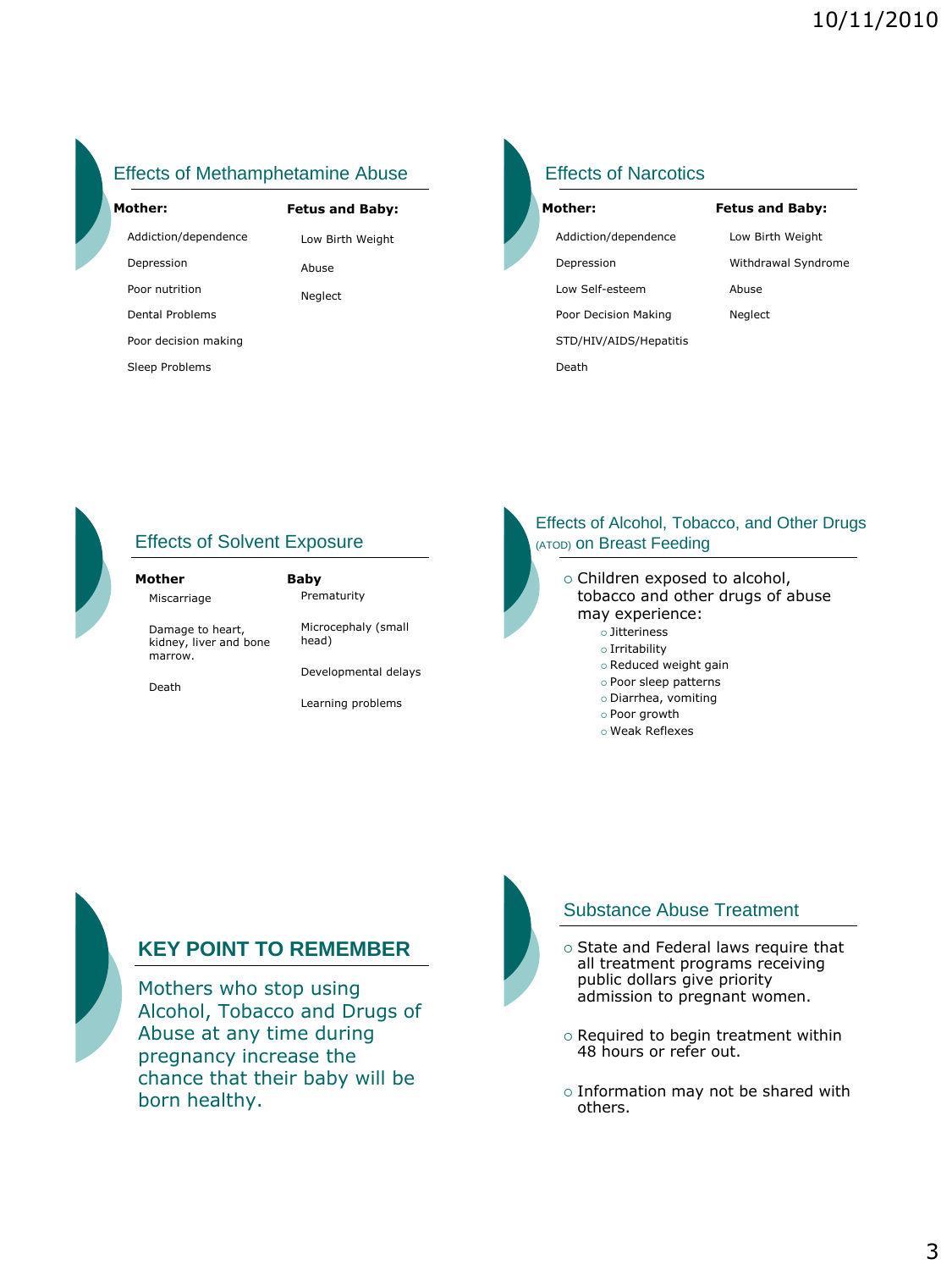# Effects of Methamphetamine Abuse

| Mother:              | <b>Fetus and Baby:</b> |
|----------------------|------------------------|
| Addiction/dependence | Low Birth Weight       |
| Depression           | Abuse                  |
| Poor nutrition       | Neglect                |
| Dental Problems      |                        |
| Poor decision making |                        |
| Sleep Problems       |                        |

# Effects of Narcotics

| Mother:                |  |
|------------------------|--|
| Addiction/dependence   |  |
| Depression             |  |
| Low Self-esteem        |  |
| Poor Decision Making   |  |
| STD/HIV/AIDS/Hepatitis |  |
| Death                  |  |

**Fetus and Baby:** Low Birth Weight Withdrawal Syndrome Abuse Neglect



# Effects of Solvent Exposure

| Mother                                                | Baby                         |
|-------------------------------------------------------|------------------------------|
| Miscarriage                                           | Prematurity                  |
| Damage to heart,<br>kidney, liver and bone<br>marrow. | Microcephaly (small<br>head) |
|                                                       | Developmental delays         |
| Death                                                 |                              |

Learning problems

### Effects of Alcohol, Tobacco, and Other Drugs (ATOD) on Breast Feeding

- o Children exposed to alcohol, tobacco and other drugs of abuse may experience: Jitteriness
	- o Irritability
	- o Reduced weight gain
	- Poor sleep patterns
	- Diarrhea, vomiting
	- Poor growth
	- Weak Reflexes



## **KEY POINT TO REMEMBER**

Mothers who stop using Alcohol, Tobacco and Drugs of Abuse at any time during pregnancy increase the chance that their baby will be born healthy.



## Substance Abuse Treatment

- $\circ$  State and Federal laws require that all treatment programs receiving public dollars give priority admission to pregnant women.
- $\circ$  Required to begin treatment within 48 hours or refer out.
- $\circ$  Information may not be shared with others.